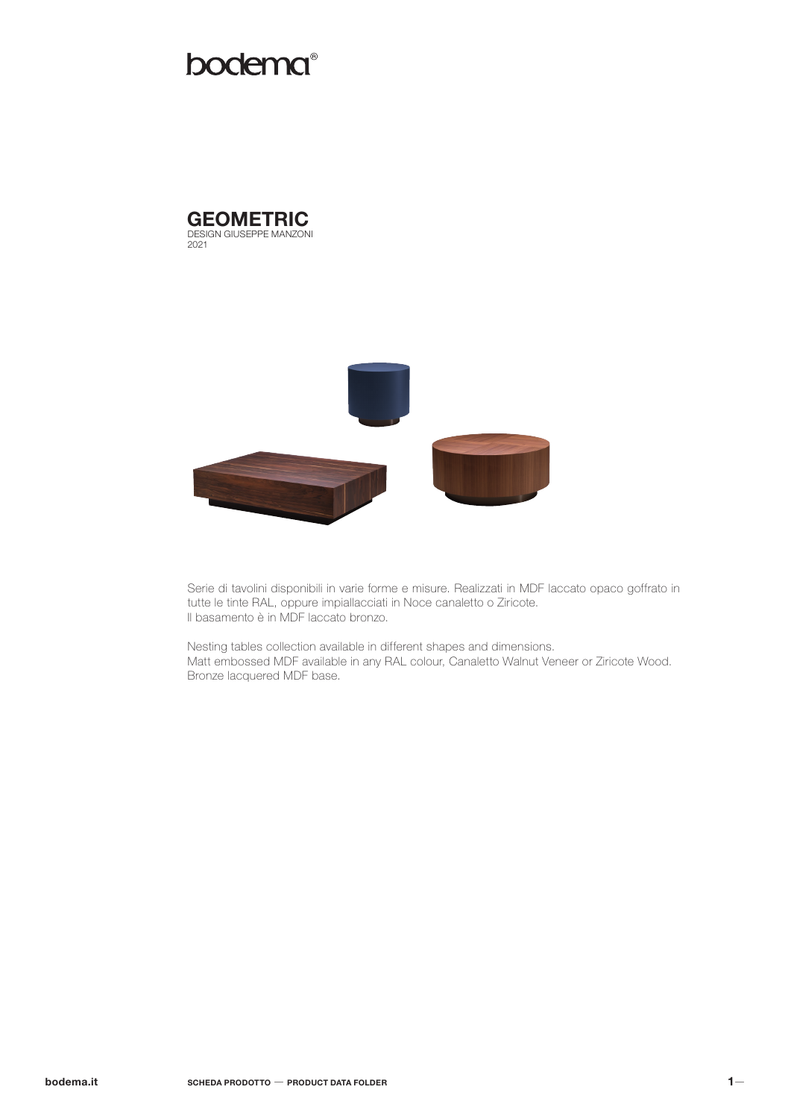# bodema<sup>®</sup>





Serie di tavolini disponibili in varie forme e misure. Realizzati in MDF laccato opaco goffrato in tutte le tinte RAL, oppure impiallacciati in Noce canaletto o Ziricote. Il basamento è in MDF laccato bronzo.

Nesting tables collection available in different shapes and dimensions. Matt embossed MDF available in any RAL colour, Canaletto Walnut Veneer or Ziricote Wood. Bronze lacquered MDF base.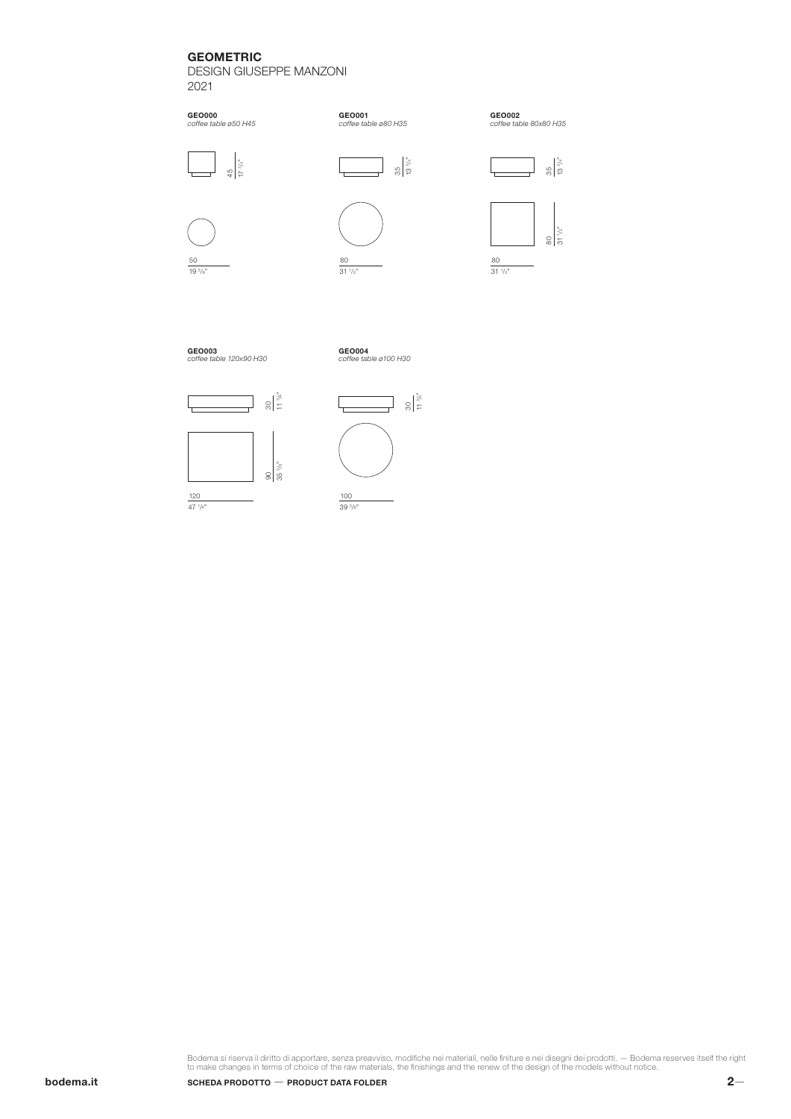## GEOMETRIC

DESIGN GIUSEPPE MANZONI 2021





80 31 1 /2"



GEO002 *coffee table 80x80 H35*



50 19 5 /8"

120 47 1 /4"





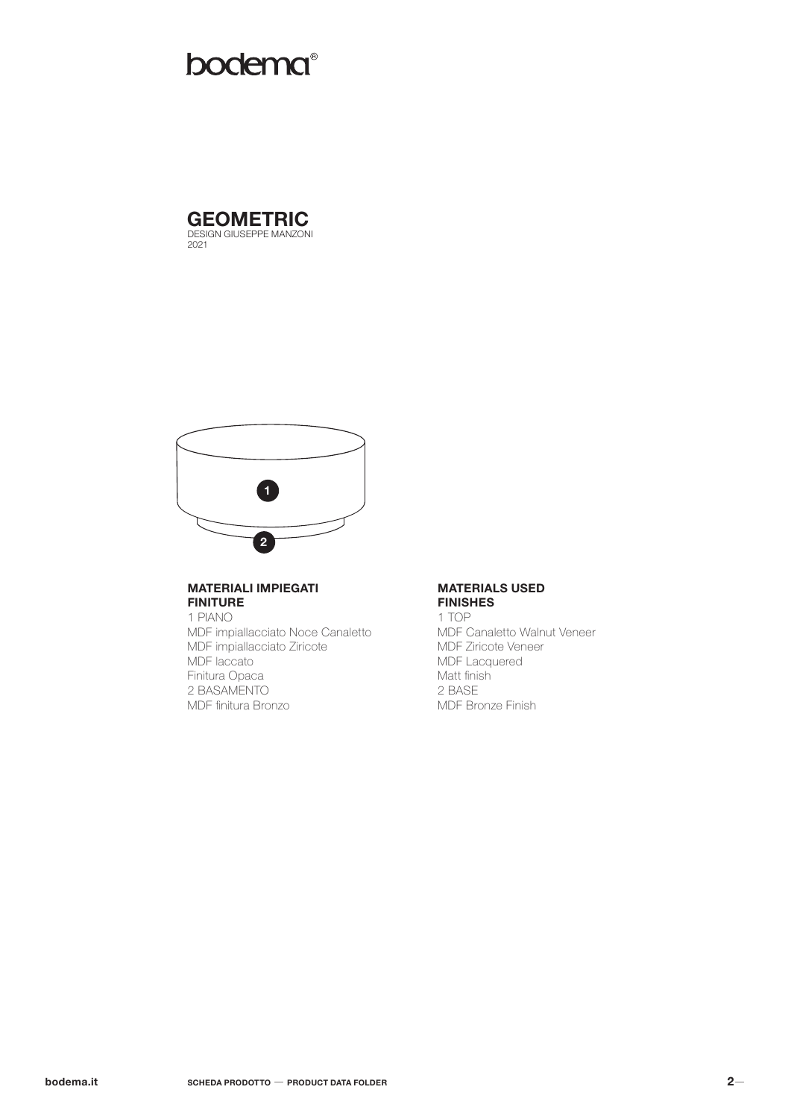# **bodema**®





#### **MATERIALI IMPIEGATI FINITURE**

1 PIANO MDF impiallacciato Noce Canaletto MDF impiallacciato Ziricote MDF laccato Finitura Opaca 2 BASAMENTO MDF finitura Bronzo

#### **MATERIALS USED FINISHES**

1 TOP MDF Canaletto Walnut Veneer MDF Ziricote Veneer MDF Lacquered Matt finish 2 BASE MDF Bronze Finish